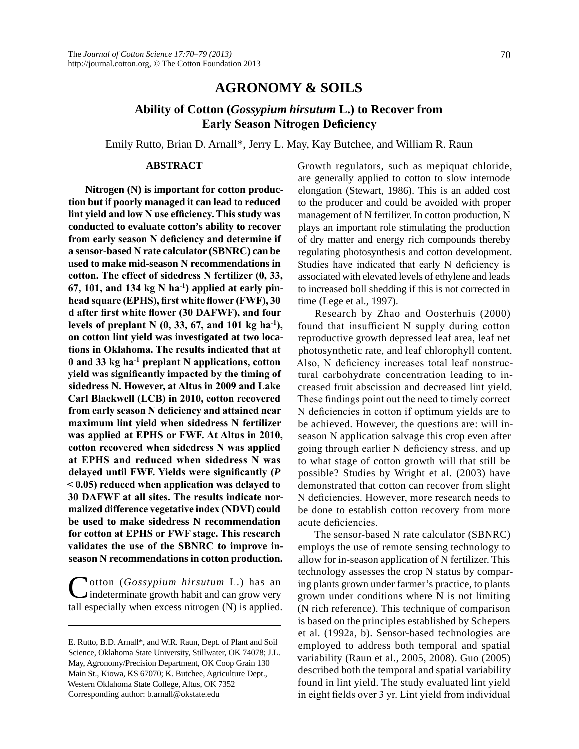## **AGRONOMY & SOILS**

# **Ability of Cotton (***Gossypium hirsutum* **L.) to Recover from Early Season Nitrogen Deficiency**

Emily Rutto, Brian D. Arnall\*, Jerry L. May, Kay Butchee, and William R. Raun

#### **ABSTRACT**

**Nitrogen (N) is important for cotton production but if poorly managed it can lead to reduced lint yield and low N use efficiency. This study was conducted to evaluate cotton's ability to recover from early season N deficiency and determine if a sensor-based N rate calculator (SBNRC) can be used to make mid-season N recommendations in cotton. The effect of sidedress N fertilizer (0, 33, 67, 101, and 134 kg N ha-1) applied at early pinhead square (EPHS), first white flower (FWF), 30 d after first white flower (30 DAFWF), and four levels of preplant N (0, 33, 67, and 101 kg ha-1), on cotton lint yield was investigated at two locations in Oklahoma. The results indicated that at 0 and 33 kg ha-1 preplant N applications, cotton yield was significantly impacted by the timing of sidedress N. However, at Altus in 2009 and Lake Carl Blackwell (LCB) in 2010, cotton recovered from early season N deficiency and attained near maximum lint yield when sidedress N fertilizer was applied at EPHS or FWF. At Altus in 2010, cotton recovered when sidedress N was applied at EPHS and reduced when sidedress N was delayed until FWF. Yields were significantly (***P* **< 0.05) reduced when application was delayed to 30 DAFWF at all sites. The results indicate normalized difference vegetative index (NDVI) could be used to make sidedress N recommendation for cotton at EPHS or FWF stage. This research validates the use of the SBNRC to improve inseason N recommendations in cotton production.**

Cotton (*Gossypium hirsutum* L.) has an indeterminate growth habit and can grow very tall especially when excess nitrogen (N) is applied. Growth regulators, such as mepiquat chloride, are generally applied to cotton to slow internode elongation (Stewart, 1986). This is an added cost to the producer and could be avoided with proper management of N fertilizer. In cotton production, N plays an important role stimulating the production of dry matter and energy rich compounds thereby regulating photosynthesis and cotton development. Studies have indicated that early N deficiency is associated with elevated levels of ethylene and leads to increased boll shedding if this is not corrected in time (Lege et al., 1997).

Research by Zhao and Oosterhuis (2000) found that insufficient N supply during cotton reproductive growth depressed leaf area, leaf net photosynthetic rate, and leaf chlorophyll content. Also, N deficiency increases total leaf nonstructural carbohydrate concentration leading to increased fruit abscission and decreased lint yield. These findings point out the need to timely correct N deficiencies in cotton if optimum yields are to be achieved. However, the questions are: will inseason N application salvage this crop even after going through earlier N deficiency stress, and up to what stage of cotton growth will that still be possible? Studies by Wright et al. (2003) have demonstrated that cotton can recover from slight N deficiencies. However, more research needs to be done to establish cotton recovery from more acute deficiencies.

The sensor-based N rate calculator (SBNRC) employs the use of remote sensing technology to allow for in-season application of N fertilizer. This technology assesses the crop N status by comparing plants grown under farmer's practice, to plants grown under conditions where N is not limiting (N rich reference). This technique of comparison is based on the principles established by Schepers et al. (1992a, b). Sensor-based technologies are employed to address both temporal and spatial variability (Raun et al., 2005, 2008). Guo (2005) described both the temporal and spatial variability found in lint yield. The study evaluated lint yield in eight fields over 3 yr. Lint yield from individual

E. Rutto, B.D. Arnall\*, and W.R. Raun, Dept. of Plant and Soil Science, Oklahoma State University, Stillwater, OK 74078; J.L. May, Agronomy/Precision Department, OK Coop Grain 130 Main St., Kiowa, KS 67070; K. Butchee, Agriculture Dept., Western Oklahoma State College, Altus, OK 7352 Corresponding author: b.arnall@okstate.edu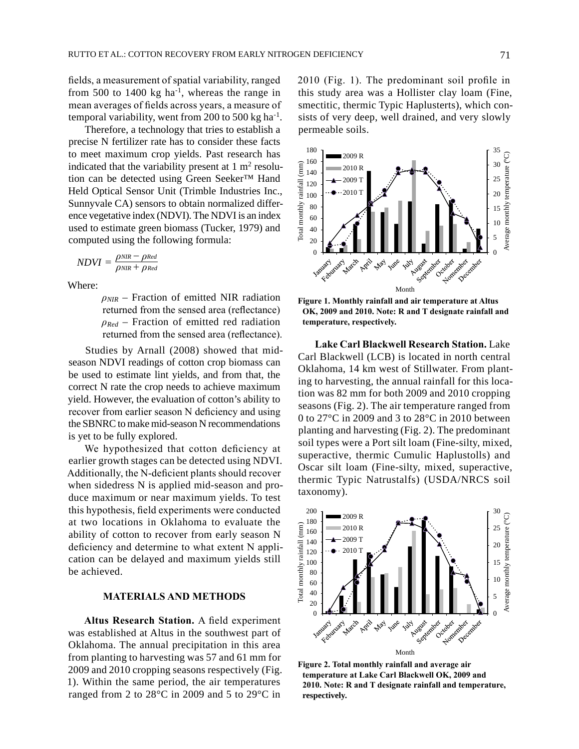fields, a measurement of spatial variability, ranged from 500 to 1400 kg  $ha^{-1}$ , whereas the range in mean averages of fields across years, a measure of temporal variability, went from 200 to 500 kg ha-1.

Therefore, a technology that tries to establish a precise N fertilizer rate has to consider these facts to meet maximum crop yields. Past research has indicated that the variability present at  $1 \text{ m}^2$  resolution can be detected using Green Seeker™ Hand Held Optical Sensor Unit (Trimble Industries Inc., Sunnyvale CA) sensors to obtain normalized difference vegetative index (NDVI). The NDVI is an index used to estimate green biomass (Tucker, 1979) and computed using the following formula:

$$
NDVI = \frac{\rho_{NIR} - \rho_{Red}}{\rho_{NIR} + \rho_{Red}}
$$

Where:

*ρNIR* – Fraction of emitted NIR radiation returned from the sensed area (reflectance) *ρRed* – Fraction of emitted red radiation returned from the sensed area (reflectance).

Studies by Arnall (2008) showed that midseason NDVI readings of cotton crop biomass can be used to estimate lint yields, and from that, the correct N rate the crop needs to achieve maximum yield. However, the evaluation of cotton's ability to recover from earlier season N deficiency and using the SBNRC to make mid-season N recommendations is yet to be fully explored.

We hypothesized that cotton deficiency at earlier growth stages can be detected using NDVI. Additionally, the N-deficient plants should recover when sidedress N is applied mid-season and produce maximum or near maximum yields. To test this hypothesis, field experiments were conducted at two locations in Oklahoma to evaluate the ability of cotton to recover from early season N deficiency and determine to what extent N application can be delayed and maximum yields still be achieved.

#### **MATERIALS AND METHODS**

**Altus Research Station.** A field experiment was established at Altus in the southwest part of Oklahoma. The annual precipitation in this area from planting to harvesting was 57 and 61 mm for 2009 and 2010 cropping seasons respectively (Fig. 1). Within the same period, the air temperatures ranged from 2 to 28°C in 2009 and 5 to 29°C in

2010 (Fig. 1). The predominant soil profile in this study area was a Hollister clay loam (Fine, smectitic, thermic Typic Haplusterts), which consists of very deep, well drained, and very slowly permeable soils.



**Figure 1. Monthly rainfall and air temperature at Altus OK, 2009 and 2010. Note: R and T designate rainfall and temperature, respectively.**

**Lake Carl Blackwell Research Station.** Lake Carl Blackwell (LCB) is located in north central Oklahoma, 14 km west of Stillwater. From planting to harvesting, the annual rainfall for this location was 82 mm for both 2009 and 2010 cropping seasons (Fig. 2). The air temperature ranged from 0 to 27°C in 2009 and 3 to 28°C in 2010 between planting and harvesting (Fig. 2). The predominant soil types were a Port silt loam (Fine-silty, mixed, superactive, thermic Cumulic Haplustolls) and Oscar silt loam (Fine-silty, mixed, superactive, thermic Typic Natrustalfs) (USDA/NRCS soil taxonomy).



**Figure 2. Total monthly rainfall and average air temperature at Lake Carl Blackwell OK, 2009 and 2010. Note: R and T designate rainfall and temperature, respectively.**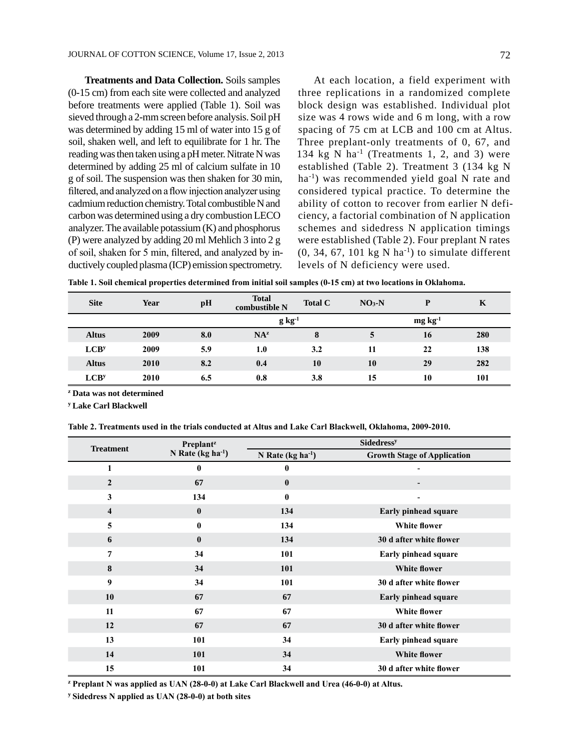**Treatments and Data Collection.** Soils samples (0-15 cm) from each site were collected and analyzed before treatments were applied (Table 1). Soil was sieved through a 2-mm screen before analysis. Soil pH was determined by adding 15 ml of water into 15 g of soil, shaken well, and left to equilibrate for 1 hr. The reading was then taken using a pH meter. Nitrate N was determined by adding 25 ml of calcium sulfate in 10 g of soil. The suspension was then shaken for 30 min, filtered, and analyzed on a flow injection analyzer using cadmium reduction chemistry. Total combustible N and carbon was determined using a dry combustion LECO analyzer. The available potassium (K) and phosphorus (P) were analyzed by adding 20 ml Mehlich 3 into 2 g of soil, shaken for 5 min, filtered, and analyzed by inductively coupled plasma (ICP) emission spectrometry.

At each location, a field experiment with three replications in a randomized complete block design was established. Individual plot size was 4 rows wide and 6 m long, with a row spacing of 75 cm at LCB and 100 cm at Altus. Three preplant-only treatments of 0, 67, and 134 kg N ha<sup>-1</sup> (Treatments 1, 2, and 3) were established (Table 2). Treatment 3 (134 kg N ha<sup>-1</sup>) was recommended yield goal N rate and considered typical practice. To determine the ability of cotton to recover from earlier N deficiency, a factorial combination of N application schemes and sidedress N application timings were established (Table 2). Four preplant N rates  $(0, 34, 67, 101 \text{ kg N} \text{ ha}^{-1})$  to simulate different levels of N deficiency were used.

**Table 1. Soil chemical properties determined from initial soil samples (0-15 cm) at two locations in Oklahoma.**

| <b>Site</b>      | Year | pH  | <b>Total</b><br>combustible N | <b>Total C</b> | $NO3-N$         | D  | K   |  |
|------------------|------|-----|-------------------------------|----------------|-----------------|----|-----|--|
|                  |      |     | $g kg^{-1}$                   |                | $mg \, kg^{-1}$ |    |     |  |
| <b>Altus</b>     | 2009 | 8.0 | NA <sup>z</sup>               | 8              | 5               | 16 | 280 |  |
| LCB <sup>y</sup> | 2009 | 5.9 | 1.0                           | 3.2            | 11              | 22 | 138 |  |
| <b>Altus</b>     | 2010 | 8.2 | 0.4                           | 10             | 10              | 29 | 282 |  |
| LCB <sup>y</sup> | 2010 | 6.5 | 0.8                           | 3.8            | 15              | 10 | 101 |  |

**<sup>z</sup> Data was not determined**

**<sup>y</sup> Lake Carl Blackwell**

**Table 2. Treatments used in the trials conducted at Altus and Lake Carl Blackwell, Oklahoma, 2009-2010.**

| <b>Treatment</b> | <b>Preplant</b> <sup>2</sup> | <b>Sidedress<sup>y</sup></b> |                                    |  |  |  |
|------------------|------------------------------|------------------------------|------------------------------------|--|--|--|
|                  | N Rate ( $kg ha^{-1}$ )      | N Rate ( $kg ha^{-1}$ )      | <b>Growth Stage of Application</b> |  |  |  |
| 1                | $\bf{0}$                     | 0                            |                                    |  |  |  |
| $\overline{2}$   | 67                           | $\bf{0}$                     | ٠                                  |  |  |  |
| $\mathbf{3}$     | 134                          | $\mathbf{0}$                 | $\blacksquare$                     |  |  |  |
| $\overline{4}$   | $\bf{0}$                     | 134                          | Early pinhead square               |  |  |  |
| 5                | $\mathbf{0}$                 | 134                          | <b>White flower</b>                |  |  |  |
| 6                | $\bf{0}$                     | 134                          | 30 d after white flower            |  |  |  |
| 7                | 34                           | 101                          | Early pinhead square               |  |  |  |
| 8                | 34                           | 101                          | <b>White flower</b>                |  |  |  |
| 9                | 34                           | 101                          | 30 d after white flower            |  |  |  |
| 10               | 67                           | 67                           | Early pinhead square               |  |  |  |
| 11               | 67                           | 67                           | <b>White flower</b>                |  |  |  |
| 12               | 67                           | 67                           | 30 d after white flower            |  |  |  |
| 13               | 101                          | 34                           | Early pinhead square               |  |  |  |
| 14               | 101                          | 34                           | <b>White flower</b>                |  |  |  |
| 15               | 101                          | 34                           | 30 d after white flower            |  |  |  |

**<sup>z</sup> Preplant N was applied as UAN (28-0-0) at Lake Carl Blackwell and Urea (46-0-0) at Altus.**

**<sup>y</sup> Sidedress N applied as UAN (28-0-0) at both sites**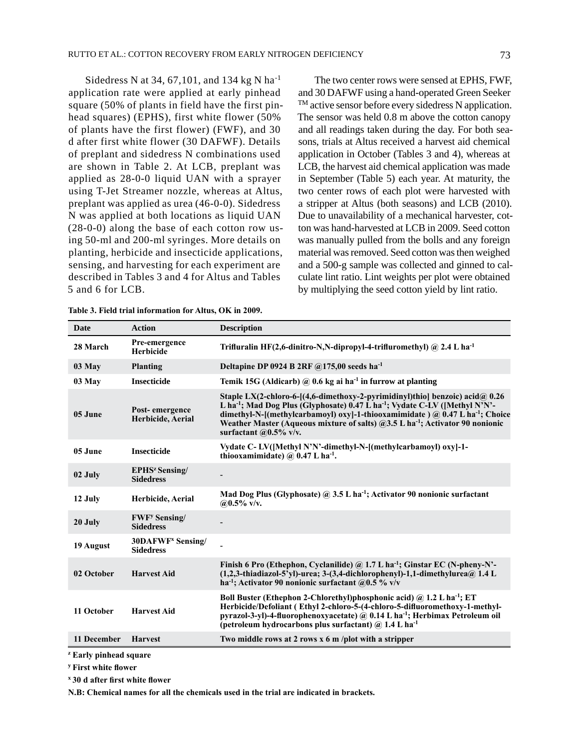Sidedress N at 34, 67,101, and 134 kg N ha-1 application rate were applied at early pinhead square (50% of plants in field have the first pinhead squares) (EPHS), first white flower (50% of plants have the first flower) (FWF), and 30 d after first white flower (30 DAFWF). Details of preplant and sidedress N combinations used are shown in Table 2. At LCB, preplant was applied as 28-0-0 liquid UAN with a sprayer using T-Jet Streamer nozzle, whereas at Altus, preplant was applied as urea (46-0-0). Sidedress N was applied at both locations as liquid UAN (28-0-0) along the base of each cotton row using 50-ml and 200-ml syringes. More details on planting, herbicide and insecticide applications, sensing, and harvesting for each experiment are described in Tables 3 and 4 for Altus and Tables 5 and 6 for LCB.

The two center rows were sensed at EPHS, FWF, and 30 DAFWF using a hand-operated Green Seeker TM active sensor before every sidedress N application. The sensor was held 0.8 m above the cotton canopy and all readings taken during the day. For both seasons, trials at Altus received a harvest aid chemical application in October (Tables 3 and 4), whereas at LCB, the harvest aid chemical application was made in September (Table 5) each year. At maturity, the two center rows of each plot were harvested with a stripper at Altus (both seasons) and LCB (2010). Due to unavailability of a mechanical harvester, cotton was hand-harvested at LCB in 2009. Seed cotton was manually pulled from the bolls and any foreign material was removed. Seed cotton was then weighed and a 500-g sample was collected and ginned to calculate lint ratio. Lint weights per plot were obtained by multiplying the seed cotton yield by lint ratio.

|  | Table 5. Field that thromation for Altus, OK in 2009. |  |
|--|-------------------------------------------------------|--|
|  |                                                       |  |

**Table 3. Field trial information for Altus, OK in 2009.**

| Date        | <b>Action</b>                                        | <b>Description</b>                                                                                                                                                                                                                                                                                                                                                                                        |
|-------------|------------------------------------------------------|-----------------------------------------------------------------------------------------------------------------------------------------------------------------------------------------------------------------------------------------------------------------------------------------------------------------------------------------------------------------------------------------------------------|
| 28 March    | Pre-emergence<br><b>Herbicide</b>                    | Trifluralin HF(2,6-dinitro-N,N-dipropyl-4-trifluromethyl) @ 2.4 L ha <sup>-1</sup>                                                                                                                                                                                                                                                                                                                        |
| 03 May      | <b>Planting</b>                                      | Deltapine DP 0924 B 2RF $@175,00$ seeds ha <sup>-1</sup>                                                                                                                                                                                                                                                                                                                                                  |
| 03 May      | <b>Insecticide</b>                                   | Temik 15G (Aldicarb) $\omega$ 0.6 kg ai ha <sup>-1</sup> in furrow at planting                                                                                                                                                                                                                                                                                                                            |
| 05 June     | Post-emergence<br>Herbicide, Aerial                  | Staple LX(2-chloro-6-[(4,6-dimethoxy-2-pyrimidinyl)thio] benzoic) acid@ 0.26<br>L ha <sup>-1</sup> ; Mad Dog Plus (Glyphosate) 0.47 L ha <sup>-1</sup> ; Vydate C-LV ([Methyl N'N'-<br>dimethyl-N-[(methylcarbamoyl) oxy]-1-thiooxamimidate ) @ 0.47 L ha <sup>-1</sup> ; Choice<br>Weather Master (Aqueous mixture of salts) @3.5 L ha <sup>-1</sup> ; Activator 90 nonionic<br>surfactant $@0.5\%$ v/v. |
| 05 June     | <b>Insecticide</b>                                   | Vydate C- LV([Methyl N'N'-dimethyl-N-[(methylcarbamoyl) oxy]-1-<br>thiooxamimidate) @ $0.47$ L ha <sup>-1</sup> .                                                                                                                                                                                                                                                                                         |
| 02 July     | <b>EPHS<sup>z</sup></b> Sensing/<br><b>Sidedress</b> |                                                                                                                                                                                                                                                                                                                                                                                                           |
| 12 July     | Herbicide, Aerial                                    | Mad Dog Plus (Glyphosate) $\omega$ 3.5 L ha <sup>-1</sup> ; Activator 90 nonionic surfactant<br>@0.5% $v/v$ .                                                                                                                                                                                                                                                                                             |
| 20 July     | <b>FWF<sup>y</sup></b> Sensing/<br><b>Sidedress</b>  |                                                                                                                                                                                                                                                                                                                                                                                                           |
| 19 August   | 30DAFWF <sup>x</sup> Sensing/<br><b>Sidedress</b>    |                                                                                                                                                                                                                                                                                                                                                                                                           |
| 02 October  | <b>Harvest Aid</b>                                   | Finish 6 Pro (Ethephon, Cyclanilide) @ 1.7 L ha <sup>-1</sup> ; Ginstar EC (N-pheny-N'-<br>$(1,2,3$ -thiadiazol-5'yl)-urea; 3-(3,4-dichlorophenyl)-1,1-dimethylurea@ 1.4 L<br>ha <sup>-1</sup> ; Activator 90 nonionic surfactant $(20.5\%$ v/v                                                                                                                                                           |
| 11 October  | <b>Harvest Aid</b>                                   | Boll Buster (Ethephon 2-Chlorethyl)phosphonic acid) @ 1.2 L ha <sup>-1</sup> ; ET<br>Herbicide/Defoliant (Ethyl 2-chloro-5-(4-chloro-5-difluoromethoxy-1-methyl-<br>pyrazol-3-yl)-4-fluorophenoxyacetate) @ 0.14 L ha <sup>-1</sup> ; Herbimax Petroleum oil<br>(petroleum hydrocarbons plus surfactant) $\omega$ 1.4 L ha <sup>-1</sup>                                                                  |
| 11 December | <b>Harvest</b>                                       | Two middle rows at 2 rows $x$ 6 m/plot with a stripper                                                                                                                                                                                                                                                                                                                                                    |

**<sup>y</sup> First white flower**

**<sup>x</sup> 30 d after first white flower**

**N.B: Chemical names for all the chemicals used in the trial are indicated in brackets.**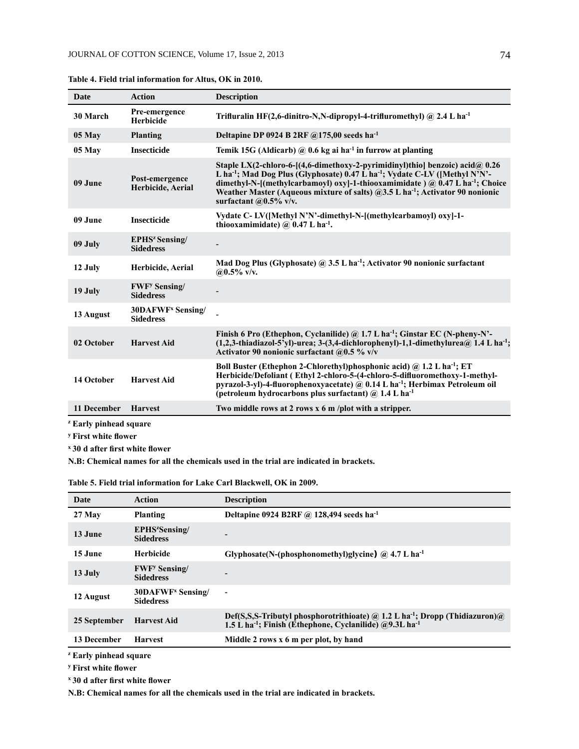| Date                              | <b>Action</b>                                        | <b>Description</b>                                                                                                                                                                                                                                                                                                                                                                                          |
|-----------------------------------|------------------------------------------------------|-------------------------------------------------------------------------------------------------------------------------------------------------------------------------------------------------------------------------------------------------------------------------------------------------------------------------------------------------------------------------------------------------------------|
| 30 March                          | Pre-emergence<br>Herbicide                           | Trifluralin HF(2,6-dinitro-N,N-dipropyl-4-trifluromethyl) $\omega$ 2.4 L ha <sup>-1</sup>                                                                                                                                                                                                                                                                                                                   |
| 05 May                            | <b>Planting</b>                                      | Deltapine DP 0924 B 2RF $@175,00$ seeds ha <sup>-1</sup>                                                                                                                                                                                                                                                                                                                                                    |
| 05 May                            | <b>Insecticide</b>                                   | Temik 15G (Aldicarb) $@$ 0.6 kg ai ha <sup>-1</sup> in furrow at planting                                                                                                                                                                                                                                                                                                                                   |
| 09 June                           | Post-emergence<br>Herbicide, Aerial                  | Staple LX(2-chloro-6-[(4,6-dimethoxy-2-pyrimidinyl)thiol benzoic) acid@ 0.26<br>L ha <sup>-1</sup> ; Mad Dog Plus (Glyphosate) $0.47$ L ha <sup>-1</sup> ; Vydate C-LV ([Methyl N'N'-<br>dimethyl-N-[(methylcarbamoyl) oxy]-1-thiooxamimidate ) @ 0.47 L ha <sup>-1</sup> ; Choice<br>Weather Master (Aqueous mixture of salts) @3.5 L ha <sup>-1</sup> ; Activator 90 nonionic<br>surfactant $@0.5\%$ v/v. |
| 09 June                           | <b>Insecticide</b>                                   | Vydate C- LV([Methyl N'N'-dimethyl-N-[(methylcarbamoyl) oxy]-1-<br>thiooxamimidate) $\omega$ 0.47 L ha <sup>-1</sup> .                                                                                                                                                                                                                                                                                      |
| 09 July                           | <b>EPHS<sup>z</sup></b> Sensing/<br><b>Sidedress</b> |                                                                                                                                                                                                                                                                                                                                                                                                             |
| 12 July                           | Herbicide, Aerial                                    | Mad Dog Plus (Glyphosate) @ 3.5 L ha <sup>-1</sup> ; Activator 90 nonionic surfactant<br>$@0.5\%$ v/v.                                                                                                                                                                                                                                                                                                      |
| 19 July                           | <b>FWF<sup>y</sup></b> Sensing/<br><b>Sidedress</b>  |                                                                                                                                                                                                                                                                                                                                                                                                             |
| 13 August                         | 30DAFWF <sup>x</sup> Sensing/<br><b>Sidedress</b>    |                                                                                                                                                                                                                                                                                                                                                                                                             |
| 02 October                        | <b>Harvest Aid</b>                                   | Finish 6 Pro (Ethephon, Cyclanilide) @ 1.7 L ha <sup>-1</sup> ; Ginstar EC (N-pheny-N'-<br>$(1,2,3-1)$ -thiadiazol-5'yl)-urea; 3-(3,4-dichlorophenyl)-1,1-dimethylurea $@$ 1.4 L ha <sup>-1</sup> ;<br>Activator 90 nonionic surfactant @0.5 % $v/v$                                                                                                                                                        |
| 14 October                        | <b>Harvest Aid</b>                                   | Boll Buster (Ethephon 2-Chlorethyl)phosphonic acid) $\omega$ 1.2 L ha <sup>-1</sup> ; ET<br>Herbicide/Defoliant (Ethyl 2-chloro-5-(4-chloro-5-difluoromethoxy-1-methyl-<br>pyrazol-3-yl)-4-fluorophenoxyacetate) $\omega$ 0.14 L ha <sup>-1</sup> ; Herbimax Petroleum oil<br>(petroleum hydrocarbons plus surfactant) $\omega$ 1.4 L ha <sup>-1</sup>                                                      |
| 11 December                       | <b>Harvest</b>                                       | Two middle rows at 2 rows $x$ 6 m/plot with a stripper.                                                                                                                                                                                                                                                                                                                                                     |
| <sup>z</sup> Early pinhead square |                                                      |                                                                                                                                                                                                                                                                                                                                                                                                             |

**Table 4. Field trial information for Altus, OK in 2010.**

**<sup>z</sup> Early pinhead square**

**<sup>y</sup> First white flower**

**<sup>x</sup> 30 d after first white flower**

**N.B: Chemical names for all the chemicals used in the trial are indicated in brackets.**

|  |  |  |  | Table 5. Field trial information for Lake Carl Blackwell, OK in 2009. |  |
|--|--|--|--|-----------------------------------------------------------------------|--|
|  |  |  |  |                                                                       |  |

| Date         | <b>Action</b>                                        | <b>Description</b>                                                                                                                                                          |
|--------------|------------------------------------------------------|-----------------------------------------------------------------------------------------------------------------------------------------------------------------------------|
| 27 May       | <b>Planting</b>                                      | Deltapine 0924 B2RF @ 128,494 seeds ha <sup>-1</sup>                                                                                                                        |
| 13 June      | EPHS <sup>z</sup> Sensing/<br><b>Sidedress</b>       |                                                                                                                                                                             |
| 15 June      | <b>Herbicide</b>                                     | Glyphosate(N-(phosphonomethyl)glycine) $\omega$ 4.7 L ha <sup>-1</sup>                                                                                                      |
| 13 July      | <b>FWF</b> <sup>y</sup> Sensing/<br><b>Sidedress</b> | ٠                                                                                                                                                                           |
| 12 August    | 30DAFWF <sup>x</sup> Sensing/<br><b>Sidedress</b>    | $\blacksquare$                                                                                                                                                              |
| 25 September | <b>Harvest Aid</b>                                   | Def(S,S,S-Tributyl phosphorotrithioate) @ 1.2 L ha <sup>-1</sup> ; Dropp (Thidiazuron) @<br>1.5 L ha <sup>-1</sup> ; Finish (Ethephone, Cyclanilide) @9.3L ha <sup>-1</sup> |
| 13 December  | <b>Harvest</b>                                       | Middle 2 rows x 6 m per plot, by hand                                                                                                                                       |

**<sup>z</sup> Early pinhead square**

**<sup>y</sup> First white flower**

**<sup>x</sup> 30 d after first white flower**

**N.B: Chemical names for all the chemicals used in the trial are indicated in brackets.**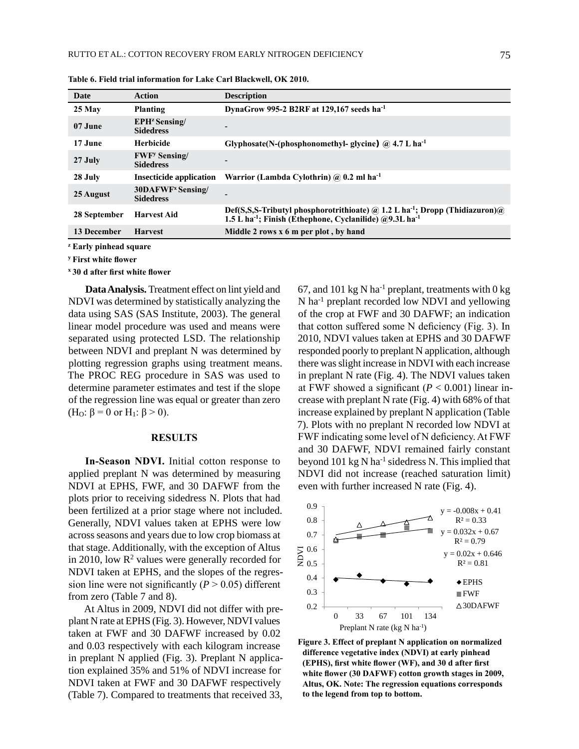| Date         | Action                                               | <b>Description</b>                                                                                                                                                             |
|--------------|------------------------------------------------------|--------------------------------------------------------------------------------------------------------------------------------------------------------------------------------|
| 25 May       | Planting                                             | DynaGrow 995-2 B2RF at 129,167 seeds ha <sup>-1</sup>                                                                                                                          |
| 07 June      | EPH <sup>z</sup> Sensing/<br><b>Sidedress</b>        | $\overline{\phantom{0}}$                                                                                                                                                       |
| 17 June      | <b>Herbicide</b>                                     | Glyphosate(N-(phosphonomethyl- glycine) $@$ 4.7 L ha <sup>-1</sup>                                                                                                             |
| 27 July      | <b>FWF</b> <sup>y</sup> Sensing/<br><b>Sidedress</b> |                                                                                                                                                                                |
| 28 July      | <b>Insecticide application</b>                       | Warrior (Lambda Cylothrin) @ $0.2$ ml ha <sup>-1</sup>                                                                                                                         |
| 25 August    | 30DAFWF <sup>x</sup> Sensing/<br><b>Sidedress</b>    |                                                                                                                                                                                |
| 28 September | <b>Harvest Aid</b>                                   | Def(S,S,S-Tributyl phosphorotrithioate) (a) 1.2 L ha <sup>-1</sup> ; Dropp (Thidiazuron)(a)<br>1.5 L ha <sup>-1</sup> ; Finish (Ethephone, Cyclanilide) @9.3L ha <sup>-1</sup> |
| 13 December  | <b>Harvest</b>                                       | Middle 2 rows x 6 m per plot, by hand                                                                                                                                          |

**Table 6. Field trial information for Lake Carl Blackwell, OK 2010.**

**<sup>z</sup> Early pinhead square**

**<sup>y</sup> First white flower**

**<sup>x</sup> 30 d after first white flower**

**Data Analysis.** Treatment effect on lint yield and NDVI was determined by statistically analyzing the data using SAS (SAS Institute, 2003). The general linear model procedure was used and means were separated using protected LSD. The relationship between NDVI and preplant N was determined by plotting regression graphs using treatment means. The PROC REG procedure in SAS was used to determine parameter estimates and test if the slope of the regression line was equal or greater than zero (H<sub>O</sub>:  $\beta$  = 0 or H<sub>1</sub>:  $\beta$  > 0).

#### **RESULTS**

**In-Season NDVI.** Initial cotton response to applied preplant N was determined by measuring NDVI at EPHS, FWF, and 30 DAFWF from the plots prior to receiving sidedress N. Plots that had been fertilized at a prior stage where not included. Generally, NDVI values taken at EPHS were low across seasons and years due to low crop biomass at that stage. Additionally, with the exception of Altus in 2010, low  $\mathbb{R}^2$  values were generally recorded for NDVI taken at EPHS, and the slopes of the regression line were not significantly  $(P > 0.05)$  different from zero (Table 7 and 8).

At Altus in 2009, NDVI did not differ with preplant N rate at EPHS (Fig. 3). However, NDVI values taken at FWF and 30 DAFWF increased by 0.02 and 0.03 respectively with each kilogram increase in preplant N applied (Fig. 3). Preplant N application explained 35% and 51% of NDVI increase for NDVI taken at FWF and 30 DAFWF respectively (Table 7). Compared to treatments that received 33, 67, and 101 kg N ha<sup>-1</sup> preplant, treatments with  $0 \text{ kg}$ N ha-1 preplant recorded low NDVI and yellowing of the crop at FWF and 30 DAFWF; an indication that cotton suffered some N deficiency (Fig. 3). In 2010, NDVI values taken at EPHS and 30 DAFWF responded poorly to preplant N application, although there was slight increase in NDVI with each increase in preplant N rate (Fig. 4). The NDVI values taken at FWF showed a significant  $(P < 0.001)$  linear increase with preplant N rate (Fig. 4) with 68% of that increase explained by preplant N application (Table 7). Plots with no preplant N recorded low NDVI at FWF indicating some level of N deficiency. At FWF and 30 DAFWF, NDVI remained fairly constant beyond 101 kg N ha<sup>-1</sup> sidedress N. This implied that NDVI did not increase (reached saturation limit) even with further increased N rate (Fig. 4).



**Figure 3. Effect of preplant N application on normalized difference vegetative index (NDVI) at early pinhead (EPHS), first white flower (WF), and 30 d after first white flower (30 DAFWF) cotton growth stages in 2009, Altus, OK. Note: The regression equations corresponds to the legend from top to bottom.**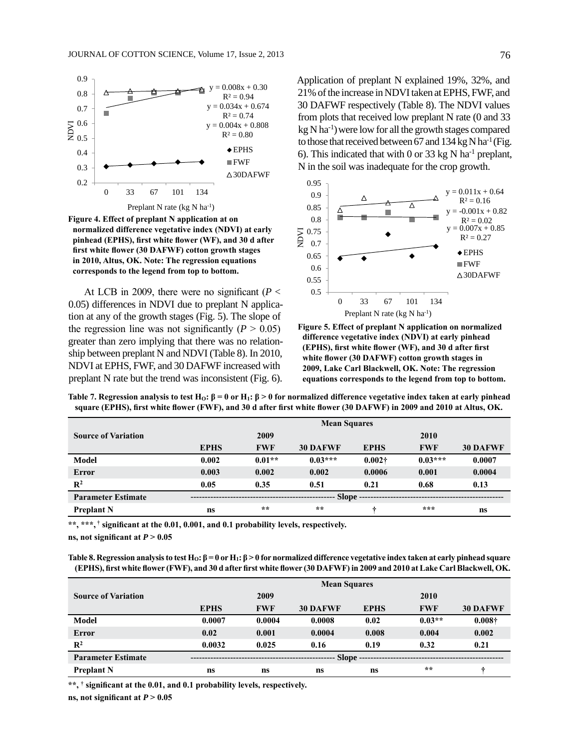

**Figure 4. Effect of preplant N application at on normalized difference vegetative index (NDVI) at early pinhead (EPHS), first white flower (WF), and 30 d after first white flower (30 DAFWF) cotton growth stages in 2010, Altus, OK. Note: The regression equations corresponds to the legend from top to bottom.**

At LCB in 2009, there were no significant ( $P <$ 0.05) differences in NDVI due to preplant N application at any of the growth stages (Fig. 5). The slope of the regression line was not significantly  $(P > 0.05)$ greater than zero implying that there was no relationship between preplant N and NDVI (Table 8). In 2010, NDVI at EPHS, FWF, and 30 DAFWF increased with preplant N rate but the trend was inconsistent (Fig. 6).

Application of preplant N explained 19%, 32%, and 21% of the increase in NDVI taken at EPHS, FWF, and 30 DAFWF respectively (Table 8). The NDVI values from plots that received low preplant N rate (0 and 33  $kg$  N ha<sup>-1</sup>) were low for all the growth stages compared to those that received between 67 and  $134 \text{ kg N}$  ha<sup>-1</sup> (Fig. 6). This indicated that with 0 or 33 kg N ha<sup>-1</sup> preplant, N in the soil was inadequate for the crop growth.



**Figure 5. Effect of preplant N application on normalized difference vegetative index (NDVI) at early pinhead (EPHS), first white flower (WF), and 30 d after first white flower (30 DAFWF) cotton growth stages in 2009, Lake Carl Blackwell, OK. Note: The regression equations corresponds to the legend from top to bottom.**

|                            | <b>Mean Squares</b> |            |                 |             |            |                 |
|----------------------------|---------------------|------------|-----------------|-------------|------------|-----------------|
| <b>Source of Variation</b> |                     | 2009       |                 |             | 2010       |                 |
|                            | <b>EPHS</b>         | <b>FWF</b> | <b>30 DAFWF</b> | <b>EPHS</b> | <b>FWF</b> | <b>30 DAFWF</b> |
| <b>Model</b>               | 0.002               | $0.01**$   | $0.03***$       | $0.002 +$   | $0.03***$  | 0.0007          |
| Error                      | 0.003               | 0.002      | 0.002           | 0.0006      | 0.001      | 0.0004          |
| $\mathbb{R}^2$             | 0.05                | 0.35       | 0.51            | 0.21        | 0.68       | 0.13            |
| <b>Parameter Estimate</b>  |                     |            | Slope -         |             |            |                 |
| <b>Preplant N</b>          | <b>ns</b>           | $**$       | **              | ÷           | ***        | ns              |

**Table 7. Regression analysis to test HO: β = 0 or H1: β > 0 for normalized difference vegetative index taken at early pinhead square (EPHS), first white flower (FWF), and 30 d after first white flower (30 DAFWF) in 2009 and 2010 at Altus, OK.**

**\*\*, \*\*\*, † significant at the 0.01, 0.001, and 0.1 probability levels, respectively. ns, not significant at**  $P > 0.05$ 

**Table 8. Regression analysis to test HO: β = 0 or H1: β > 0 for normalized difference vegetative index taken at early pinhead square (EPHS), first white flower (FWF), and 30 d after first white flower (30 DAFWF) in 2009 and 2010 at Lake Carl Blackwell, OK.**

|                            | <b>Mean Squares</b> |            |                 |             |            |                 |
|----------------------------|---------------------|------------|-----------------|-------------|------------|-----------------|
| <b>Source of Variation</b> |                     | 2009       |                 |             | 2010       |                 |
|                            | <b>EPHS</b>         | <b>FWF</b> | <b>30 DAFWF</b> | <b>EPHS</b> | <b>FWF</b> | <b>30 DAFWF</b> |
| <b>Model</b>               | 0.0007              | 0.0004     | 0.0008          | 0.02        | $0.03**$   | $0.008\dagger$  |
| <b>Error</b>               | 0.02                | 0.001      | 0.0004          | 0.008       | 0.004      | 0.002           |
| $\mathbb{R}^2$             | 0.0032              | 0.025      | 0.16            | 0.19        | 0.32       | 0.21            |
| <b>Parameter Estimate</b>  | Slope --            |            |                 |             |            |                 |
| <b>Preplant N</b>          | ns                  | ns         | ns              | ns          | $* *$      | ÷               |

**\*\*, † significant at the 0.01, and 0.1 probability levels, respectively.**

**ns, not significant at**  $P > 0.05$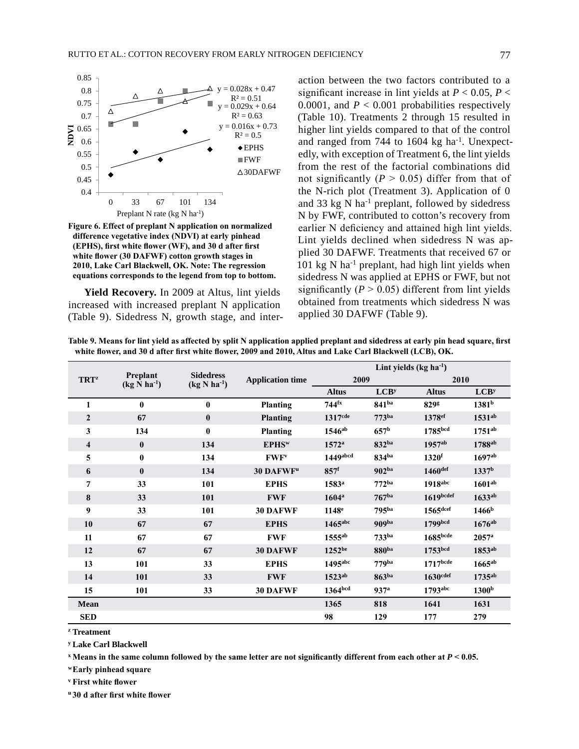

**Figure 6. Effect of preplant N application on normalized difference vegetative index (NDVI) at early pinhead (EPHS), first white flower (WF), and 30 d after first white flower (30 DAFWF) cotton growth stages in 2010, Lake Carl Blackwell, OK. Note: The regression equations corresponds to the legend from top to bottom.**

**Yield Recovery.** In 2009 at Altus, lint yields increased with increased preplant N application (Table 9). Sidedress N, growth stage, and inter-

action between the two factors contributed to a significant increase in lint yields at  $P < 0.05$ ,  $P <$ 0.0001, and  $P < 0.001$  probabilities respectively (Table 10). Treatments 2 through 15 resulted in higher lint yields compared to that of the control and ranged from 744 to 1604 kg  $ha^{-1}$ . Unexpectedly, with exception of Treatment 6, the lint yields from the rest of the factorial combinations did not significantly  $(P > 0.05)$  differ from that of the N-rich plot (Treatment 3). Application of 0 and 33 kg  $N$  ha<sup>-1</sup> preplant, followed by sidedress N by FWF, contributed to cotton's recovery from earlier N deficiency and attained high lint yields. Lint yields declined when sidedress N was applied 30 DAFWF. Treatments that received 67 or 101 kg N ha<sup>-1</sup> preplant, had high lint yields when sidedress N was applied at EPHS or FWF, but not significantly  $(P > 0.05)$  different from lint yields obtained from treatments which sidedress N was applied 30 DAFWF (Table 9).

**Table 9. Means for lint yield as affected by split N application applied preplant and sidedress at early pin head square, first white flower, and 30 d after first white flower, 2009 and 2010, Altus and Lake Carl Blackwell (LCB), OK.**

|                         |                                        |                                      |                         | Lint yields $(kg ha-1)$ |                   |                      |                      |  |
|-------------------------|----------------------------------------|--------------------------------------|-------------------------|-------------------------|-------------------|----------------------|----------------------|--|
| <b>TRT</b> <sup>z</sup> | Preplant<br>$(kg$ N ha <sup>-1</sup> ) | <b>Sidedress</b><br>$(kg N ha^{-1})$ | <b>Application time</b> | 2009                    |                   |                      | 2010                 |  |
|                         |                                        |                                      |                         | <b>Altus</b>            | LCB <sup>y</sup>  | <b>Altus</b>         | LCB <sup>y</sup>     |  |
| 1                       | $\bf{0}$                               | $\bf{0}$                             | <b>Planting</b>         | $744$ <sup>fx</sup>     | 841 <sup>ba</sup> | 829g                 | 1381 <sup>b</sup>    |  |
| $\boldsymbol{2}$        | 67                                     | $\bf{0}$                             | <b>Planting</b>         | 1317 <sup>cde</sup>     | 773 <sup>ba</sup> | 1378 <sup>ef</sup>   | 1531 <sup>ab</sup>   |  |
| 3                       | 134                                    | $\bf{0}$                             | <b>Planting</b>         | 1546 <sup>ab</sup>      | 657 <sup>b</sup>  | 1785bcd              | $1751^{ab}$          |  |
| $\overline{\mathbf{4}}$ | $\bf{0}$                               | 134                                  | EPHS <sup>w</sup>       | $1572^{\rm a}$          | 832ba             | $1957$ <sup>ab</sup> | 1788 <sup>ab</sup>   |  |
| 5                       | $\bf{0}$                               | 134                                  | <b>FWF</b> <sup>v</sup> | 1449abcd                | 834ba             | $1320$ f             | $1697$ <sup>ab</sup> |  |
| 6                       | $\bf{0}$                               | 134                                  | <b>30 DAFWFu</b>        | 857 <sup>f</sup>        | 902 <sup>ba</sup> | $1460$ def           | 1337 <sup>b</sup>    |  |
| 7                       | 33                                     | 101                                  | <b>EPHS</b>             | $1583^{\rm a}$          | 772 <sup>ba</sup> | 1918abc              | 1601 <sup>ab</sup>   |  |
| 8                       | 33                                     | 101                                  | <b>FWF</b>              | $1604^{\rm a}$          | 767 <sup>ba</sup> | $1619$ bcdef         | 1633 <sup>ab</sup>   |  |
| 9                       | 33                                     | 101                                  | <b>30 DAFWF</b>         | 1148 <sup>e</sup>       | 795 <sup>ba</sup> | $1565$ dcef          | 1466 <sup>b</sup>    |  |
| 10                      | 67                                     | 67                                   | <b>EPHS</b>             | $1465$ <sub>abc</sub>   | 909ba             | 1799bcd              | $1676$ <sup>ab</sup> |  |
| 11                      | 67                                     | 67                                   | <b>FWF</b>              | 1555ab                  | 733 <sup>ba</sup> | 1685 <sub>bcde</sub> | $2057^{\rm a}$       |  |
| 12                      | 67                                     | 67                                   | 30 DAFWF                | $1252^{be}$             | 880ba             | 1753 <sup>bcd</sup>  | 1853ab               |  |
| 13                      | 101                                    | 33                                   | <b>EPHS</b>             | $1495$ <sub>abc</sub>   | 779 <sup>ba</sup> | $1717$ bcde          | $1665^{ab}$          |  |
| 14                      | <b>101</b>                             | 33                                   | <b>FWF</b>              | 1523 <sup>ab</sup>      | 863 <sup>ba</sup> | $1630$ cdef          | $1735^{ab}$          |  |
| 15                      | 101                                    | 33                                   | <b>30 DAFWF</b>         | 1364bcd                 | 937 <sup>a</sup>  | $1793$ abc           | 1300 <sup>b</sup>    |  |
| Mean                    |                                        |                                      |                         | 1365                    | 818               | 1641                 | 1631                 |  |
| <b>SED</b>              |                                        |                                      |                         | 98                      | 129               | 177                  | 279                  |  |

**<sup>z</sup> Treatment**

**<sup>y</sup> Lake Carl Blackwell**

**<sup>x</sup> Means in the same column followed by the same letter are not significantly different from each other at** *P* **< 0.05.**

**<sup>w</sup>Early pinhead square**

**<sup>v</sup> First white flower**

**<sup>u</sup> 30 d after first white flower**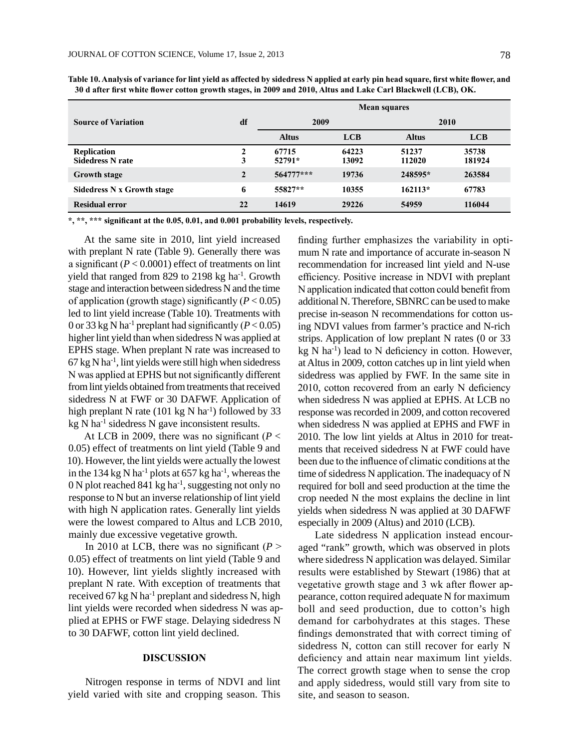|                                               |              | <b>Mean squares</b> |                |                 |                 |  |  |
|-----------------------------------------------|--------------|---------------------|----------------|-----------------|-----------------|--|--|
| <b>Source of Variation</b>                    | df           | 2009                |                | 2010            |                 |  |  |
|                                               |              | <b>Altus</b>        | <b>LCB</b>     | <b>Altus</b>    | <b>LCB</b>      |  |  |
| <b>Replication</b><br><b>Sidedress N rate</b> | 3            | 67715<br>52791*     | 64223<br>13092 | 51237<br>112020 | 35738<br>181924 |  |  |
| <b>Growth stage</b>                           | $\mathbf{2}$ | $564777***$         | 19736          | 248595*         | 263584          |  |  |
| Sidedress N x Growth stage                    | 6            | 55827**             | 10355          | $162113*$       | 67783           |  |  |
| <b>Residual error</b>                         | 22           | 14619               | 29226          | 54959           | 116044          |  |  |

**Table 10. Analysis of variance for lint yield as affected by sidedress N applied at early pin head square, first white flower, and 30 d after first white flower cotton growth stages, in 2009 and 2010, Altus and Lake Carl Blackwell (LCB), OK.**

**\*, \*\*, \*\*\* significant at the 0.05, 0.01, and 0.001 probability levels, respectively.**

At the same site in 2010, lint yield increased with preplant N rate (Table 9). Generally there was a significant (*P* < 0.0001) effect of treatments on lint yield that ranged from 829 to 2198 kg ha<sup>-1</sup>. Growth stage and interaction between sidedress N and the time of application (growth stage) significantly (*P* < 0.05) led to lint yield increase (Table 10). Treatments with 0 or 33 kg N ha<sup>-1</sup> preplant had significantly ( $P < 0.05$ ) higher lint yield than when sidedress N was applied at EPHS stage. When preplant N rate was increased to  $67$  kg N ha<sup>-1</sup>, lint yields were still high when sidedress N was applied at EPHS but not significantly different from lint yields obtained from treatments that received sidedress N at FWF or 30 DAFWF. Application of high preplant N rate (101 kg N ha<sup>-1</sup>) followed by 33  $kg \text{ N}$  ha<sup>-1</sup> sidedress N gave inconsistent results.

At LCB in 2009, there was no significant ( $P <$ 0.05) effect of treatments on lint yield (Table 9 and 10). However, the lint yields were actually the lowest in the 134 kg N ha<sup>-1</sup> plots at 657 kg ha<sup>-1</sup>, whereas the 0 N plot reached 841 kg ha-1, suggesting not only no response to N but an inverse relationship of lint yield with high N application rates. Generally lint yields were the lowest compared to Altus and LCB 2010, mainly due excessive vegetative growth.

In 2010 at LCB, there was no significant ( $P >$ 0.05) effect of treatments on lint yield (Table 9 and 10). However, lint yields slightly increased with preplant N rate. With exception of treatments that received 67 kg N ha<sup>-1</sup> preplant and sidedress N, high lint yields were recorded when sidedress N was applied at EPHS or FWF stage. Delaying sidedress N to 30 DAFWF, cotton lint yield declined.

#### **DISCUSSION**

Nitrogen response in terms of NDVI and lint yield varied with site and cropping season. This finding further emphasizes the variability in optimum N rate and importance of accurate in-season N recommendation for increased lint yield and N-use efficiency. Positive increase in NDVI with preplant N application indicated that cotton could benefit from additional N. Therefore, SBNRC can be used to make precise in-season N recommendations for cotton using NDVI values from farmer's practice and N-rich strips. Application of low preplant N rates (0 or 33  $kg \text{ N}$  ha<sup>-1</sup>) lead to N deficiency in cotton. However, at Altus in 2009, cotton catches up in lint yield when sidedress was applied by FWF. In the same site in 2010, cotton recovered from an early N deficiency when sidedress N was applied at EPHS. At LCB no response was recorded in 2009, and cotton recovered when sidedress N was applied at EPHS and FWF in 2010. The low lint yields at Altus in 2010 for treatments that received sidedress N at FWF could have been due to the influence of climatic conditions at the time of sidedress N application. The inadequacy of N required for boll and seed production at the time the crop needed N the most explains the decline in lint yields when sidedress N was applied at 30 DAFWF especially in 2009 (Altus) and 2010 (LCB).

Late sidedress N application instead encouraged "rank" growth, which was observed in plots where sidedress N application was delayed. Similar results were established by Stewart (1986) that at vegetative growth stage and 3 wk after flower appearance, cotton required adequate N for maximum boll and seed production, due to cotton's high demand for carbohydrates at this stages. These findings demonstrated that with correct timing of sidedress N, cotton can still recover for early N deficiency and attain near maximum lint yields. The correct growth stage when to sense the crop and apply sidedress, would still vary from site to site, and season to season.